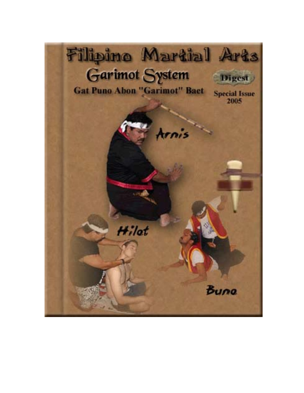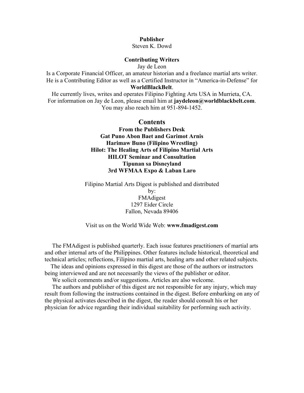#### **Publisher**

Steven K. Dowd

#### **Contributing Writers**

Jay de Leon

Is a Corporate Financial Officer, an amateur historian and a freelance martial arts writer. He is a Contributing Editor as well as a Certified Instructor in "America-in-Defense" for **[WorldBlackBelt](http://www.worldblackbelt.com/)**.

He currently lives, writes and operates Filipino Fighting Arts USA in Murrieta, CA. For information on Jay de Leon, please email him at **[jaydeleon@worldblackbelt.com](mailto:jaydeleon@worldblackbelt.com)**. You may also reach him at 951-894-1452.

#### **Contents**

**[From the Publishers Desk](#page-2-0) [Gat Puno Abon Baet and Garimot Arnis](#page-3-0) [Harimaw Buno \(Filipino Wrestling\)](#page-4-0) [Hilot: The Healing Arts of Filipino Martial Arts](#page-7-0) [HILOT Seminar and Consultation](#page-10-0) [Tipunan sa Disneyland](#page-11-0) [3rd WFMAA Expo & Laban Laro](#page-12-0)**

Filipino Martial Arts Digest is published and distributed by: FMAdigest 1297 Eider Circle Fallon, Nevada 89406

#### Visit us on the World Wide Web: **[www.fmadigest.com](http://www.fmadigest.com/)**

 The FMAdigest is published quarterly. Each issue features practitioners of martial arts and other internal arts of the Philippines. Other features include historical, theoretical and technical articles; reflections, Filipino martial arts, healing arts and other related subjects.

 The ideas and opinions expressed in this digest are those of the authors or instructors being interviewed and are not necessarily the views of the publisher or editor.

We solicit comments and/or suggestions. Articles are also welcome.

 The authors and publisher of this digest are not responsible for any injury, which may result from following the instructions contained in the digest. Before embarking on any of the physical activates described in the digest, the reader should consult his or her physician for advice regarding their individual suitability for performing such activity.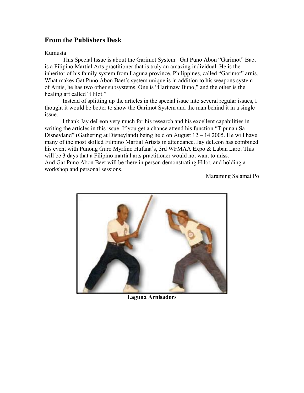### <span id="page-2-0"></span>**From the Publishers Desk**

#### Kumusta

This Special Issue is about the Garimot System. Gat Puno Abon "Garimot" Baet is a Filipino Martial Arts practitioner that is truly an amazing individual. He is the inheritor of his family system from Laguna province, Philippines, called "Garimot" arnis. What makes Gat Puno Abon Baet's system unique is in addition to his weapons system of Arnis, he has two other subsystems. One is "Harimaw Buno," and the other is the healing art called "Hilot."

Instead of splitting up the articles in the special issue into several regular issues, I thought it would be better to show the Garimot System and the man behind it in a single issue.

I thank Jay deLeon very much for his research and his excellent capabilities in writing the articles in this issue. If you get a chance attend his function "Tipunan Sa Disneyland" (Gathering at Disneyland) being held on August  $12 - 142005$ . He will have many of the most skilled Filipino Martial Artists in attendance. Jay deLeon has combined his event with Punong Guro Myrlino Hufana's, 3rd WFMAA Expo & Laban Laro. This will be 3 days that a Filipino martial arts practitioner would not want to miss. And Gat Puno Abon Baet will be there in person demonstrating Hilot, and holding a workshop and personal sessions.

Maraming Salamat Po



**Laguna Arnisadors**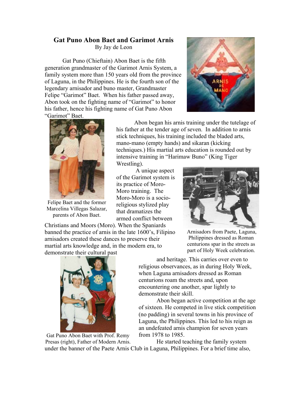# <span id="page-3-0"></span>**Gat Puno Abon Baet and Garimot Arnis**

By Jay de Leon

Gat Puno (Chieftain) Abon Baet is the fifth generation grandmaster of the Garimot Arnis System, a family system more than 150 years old from the province of Laguna, in the Philippines. He is the fourth son of the legendary arnisador and buno master, Grandmaster Felipe "Garimot" Baet. When his father passed away, Abon took on the fighting name of "Garimot" to honor his father, hence his fighting name of Gat Puno Abon "Garimot" Baet.





Felipe Baet and the former Marcelina Villegas Salazar, parents of Abon Baet.

Abon began his arnis training under the tutelage of his father at the tender age of seven. In addition to arnis stick techniques, his training included the bladed arts, mano-mano (empty hands) and sikaran (kicking techniques.) His martial arts education is rounded out by intensive training in "Harimaw Buno" (King Tiger

Wrestling).

 A unique aspect of the Garimot system is its practice of Moro-Moro training. The Moro-Moro is a socioreligious stylized play that dramatizes the armed conflict between

Christians and Moors (Moro). When the Spaniards banned the practice of arnis in the late 1600's, Filipino arnisadors created these dances to preserve their martial arts knowledge and, in the modern era, to demonstrate their cultural past



Arnisadors from Paete, Laguna, Philippines dressed as Roman centurions spar in the streets as part of Holy Week celebration.



Gat Puno Abon Baet with Prof. Remy Presas (right), Father of Modern Arnis.

and heritage. This carries over even to religious observances, as in during Holy Week, when Laguna arnisadors dressed as Roman centurions roam the streets and, upon encountering one another, spar lightly to demonstrate their skill.

Abon began active competition at the age of sixteen. He competed in live stick competition (no padding) in several towns in his province of Laguna, the Philippines. This led to his reign as an undefeated arnis champion for seven years from 1978 to 1985.

He started teaching the family system under the banner of the Paete Arnis Club in Laguna, Philippines. For a brief time also,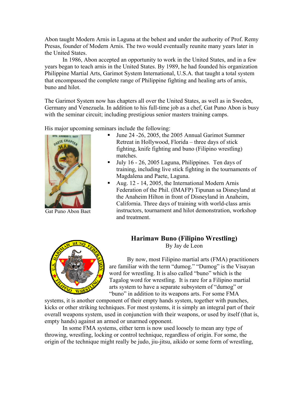<span id="page-4-0"></span>Abon taught Modern Arnis in Laguna at the behest and under the authority of Prof. Remy Presas, founder of Modern Arnis. The two would eventually reunite many years later in the United States.

In 1986, Abon accepted an opportunity to work in the United States, and in a few years began to teach arnis in the United States. By 1989, he had founded his organization Philippine Martial Arts, Garimot System International, U.S.A. that taught a total system that encompassed the complete range of Philippine fighting and healing arts of arnis, buno and hilot.

The Garimot System now has chapters all over the United States, as well as in Sweden, Germany and Venezuela. In addition to his full-time job as a chef, Gat Puno Abon is busy with the seminar circuit; including prestigious senior masters training camps.

His major upcoming seminars include the following:



Gat Puno Abon Baet

- Ultimate 1 June 24 26, 2005, the 2005 Annual Garimot Summer Retreat in Hollywood, Florida – three days of stick fighting, knife fighting and buno (Filipino wrestling) matches.
- $\blacksquare$  July 16 26, 2005 Laguna, Philippines. Ten days of training, including live stick fighting in the tournaments of Magdalena and Paete, Laguna.
- Aug. 12 14, 2005, the International Modern Arnis Federation of the Phil. (IMAFP) Tipunan sa Disneyland at the Anaheim Hilton in front of Disneyland in Anaheim, California. Three days of training with world-class arnis instructors, tournament and hilot demonstration, workshop and treatment.



# **Harimaw Buno (Filipino Wrestling)**  By Jay de Leon

By now, most Filipino martial arts (FMA) p ractitioners are familiar with the term "dumog." "Dumog" is the Visayan word for wrestling. It is also called "buno" which is the Tagalog word for wrestling. It is rare for a Filipino martia l arts system to have a separate subsystem of "dumog" or "buno" in addition to its weapons arts. For some FMA

systems, it is another component of their empty hands system, together with punches, kicks or other striking techniques. For most systems, it is simply an integral part of their overall weapons system, used in conjunction with their weapons, or used by itself (that is, empty hands) against an armed or unarmed opponent.

In some FMA systems, either term is now used loosely to mean any type of throwing, wrestling, locking or control technique, regardless of origin. For some, the origin of the technique might really be judo, jiu-jitsu, aikido or some form of wrestling,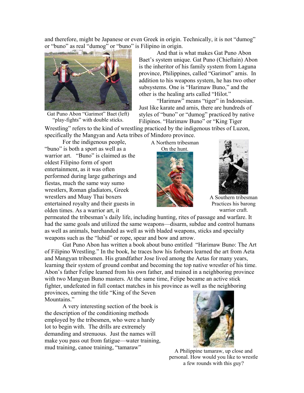and therefore, might be Japanese or even Greek in origin. Technically, it is not "dumog" or "buno" as real "dumog" or "buno" is Filipino in origin.



Gat Puno Abon "Garimot" Baet (left) "play-fights" with double sticks.

And that is what makes Gat Puno Abon Baet's system unique. Gat Puno (Chieftain) Abon is the inheritor of his family system from Laguna province, Philippines, called "Garimot" arnis. In addition to his weapons system, he has two other subsystems. One is "Harimaw Buno," and the other is the healing arts called "Hilot."

"Harimaw" means "tiger" in Indonesian. Just like karate and arnis, there are hundreds of styles of "buno" or "dumog" practiced by native Filipinos. "Harimaw Buno" or "King Tiger

Wrestling" refers to the kind of wrestling practiced by the indigenous tribes of Luzon, specifically the Mangyan and Aeta tribes of Mindoro province.

For the indigenous people, "buno" is both a sport as well as a warrior art. "Buno" is claimed as the oldest Filipino form of sport entertainment, as it was often performed during large gatherings and fiestas, much the same way sumo wrestlers, Roman gladiators, Greek wrestlers and Muay Thai boxers entertained royalty and their guests in olden times. As a warrior art, it

A Northern tribesman On the hunt.





A Southern tribesman Practices his barong warrior craft.

permeated the tribesman's daily life, including hunting, rites of passage and warfare. It had the same goals and utilized the same weapons—disarm, subdue and control humans as well as animals, barehanded as well as with bladed weapons, sticks and specialty weapons such as the "lubid" or rope, spear and bow and arrow.

Gat Puno Abon has written a book about buno entitled "Harimaw Buno: The Art of Filipino Wrestling." In the book, he traces how his forbears learned the art from Aeta and Mangyan tribesmen. His grandfather Jose lived among the Aetas for many years, learning their system of ground combat and becoming the top native wrestler of his time. Abon's father Felipe learned from his own father, and trained in a neighboring province with two Mangyan Buno masters. At the same time, Felipe became an active stick fighter, undefeated in full contact matches in his province as well as the neighboring

provinces, earning the title "King of the Seven Mountains."

A very interesting section of the book is the description of the conditioning methods employed by the tribesmen, who were a hardy lot to begin with. The drills are extremely demanding and strenuous. Just the names will make you pass out from fatigue—water training, mud training, canoe training, "tamaraw"



A Philippine tamaraw, up close and personal. How would you like to wrestle a few rounds with this guy?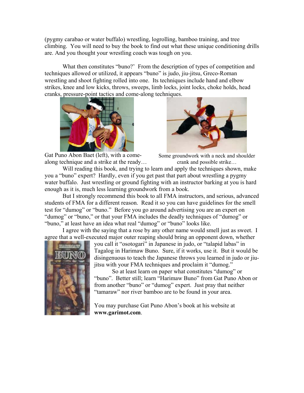(pygmy carabao or water buffalo) wrestling, logrolling, bamboo training, and tree climbing. You will need to buy the book to find out what these unique conditioning drills are. And you thought your wrestling coach was tough on you.

What then constitutes "buno?' From the description of types of competition and techniques allowed or utilized, it appears "buno" is judo, jiu-jitsu, Greco-Roman wrestling and shoot fighting rolled into one. Its techniques include hand and elbow strikes, knee and low kicks, throws, sweeps, limb locks, joint locks, choke holds, head cranks, pressure-point tactics and come-along techniques.



Gat Puno Abon Baet (left), with a comealong technique and a strike at the ready…



Some groundwork with a neck and shoulder crank and possible strike…

Will reading this book, and trying to learn and apply the techniques shown, make you a "buno" expert? Hardly, even if you get past that part about wrestling a pygmy water buffalo. Just wrestling or ground fighting with an instructor barking at you is hard enough as it is, much less learning groundwork from a book.

But I strongly recommend this book to all FMA instructors, and serious, advanced students of FMA for a different reason. Read it so you can have guidelines for the smell test for "dumog" or "buno." Before you go around advertising you are an expert on "dumog" or "buno," or that your FMA includes the deadly techniques of "dumog" or "buno," at least have an idea what real "dumog" or "buno" looks like.

I agree with the saying that a rose by any other name would smell just as sweet. I agree that a well-executed major outer reaping should bring an opponent down, whether



you call it "osotogari" in Japanese in judo, or "talapid labas" in Tagalog in Harimaw Buno. Sure, if it works, use it. But it would b e disingenuous to teach the Japanese throws you learned in judo or ji ujitsu with your FMA techniques and proclaim it "dumog."

So at least learn on paper what constitutes "dumog" or "buno". Better still; learn "Harimaw Buno" from Gat Puno Abon or from another "buno" or "dumog" expert. Just pray that neither "tamaraw" nor river bamboo are to be found in your area.

You may purchase Gat Puno Abon's book at his website at **www.garimot.com**.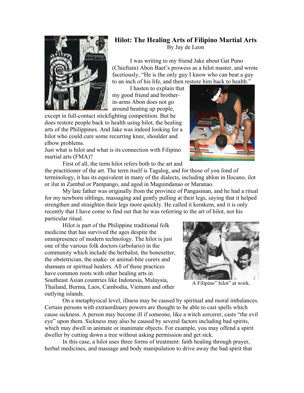<span id="page-7-0"></span>

# **Hilot: The Healing Arts of Filipino Martial Arts**  By Jay de Leon

I was writing to my friend Jake about Gat Puno (Chieftain) Abon Baet's prowess as a hilot master, and wrote facetiously, "He is the only guy I know who can beat a guy to an inch of his life, and then r estore him back to health."

I hasten to explain tha t my goo d friend and brotherin-arms Abon does not go around beating up people,

except in full-contact stickfighting competition. But he a arts of the Philippines. And Jake was indeed looking for does restore people back to health using hilot, the healing hilot who could cure some recurring knee, shoulder and elbow problems.

Just what is hilot and what is its connection with Filipino martial arts (FMA)?



First of all, the term hilot refers both to the art and the practitioner of the art. The term itself is Tagalog, and for those of you fond of terminology, it has its equivalent in many of the dialects, including ablon in Ilocano, ilot or ilut in Zambal or Pampango, and agod in Maguindanao or Maranao.

My late father was originally from the province of Pangasinan, and he had a ritual for my newborn siblings, massaging and gently pulling at their legs, saying that it helped strengthen and straighten their legs more quickly. He called it kemkem, and it is only recently that I have come to find out that he was referring to the art of hilot, not his particular ritual.

Hilot is part of the Philippine traditional folk medicine that has survived the ages despite the omnipresence of modern technology. The hilot is just one of the various folk doctors (arbolario) in the community which include the herbalist, the bonesetter, the obstetrician, the snake- or animal-bite curers and shamans or spiritual healers. All of these practices have common roots with other healing arts in Southeast Asian countries like Indonesia, Malaysia, Thailand, Burma, Laos, Cambodia, Vietnam and other outlying islands.



A Filipino" hilot" at work.

On a metaphysical level, illness may be caused by spiritual and moral imbalances. Certain persons with extraordinary powers are thought to be able to cast spells which cause sickness. A person may become ill if someone, like a witch sorcerer, casts "the evil eye" upon them. Sickness may also be caused by several factors including bad spirits, which may dwell in animate or inanimate objects. For example, you may offend a spirit dweller by cutting down a tree without asking permission and get sick.

In this case, a hilot uses three forms of treatment: faith healing through prayer, herbal medicines, and massage and body manipulation to drive away the bad spirit that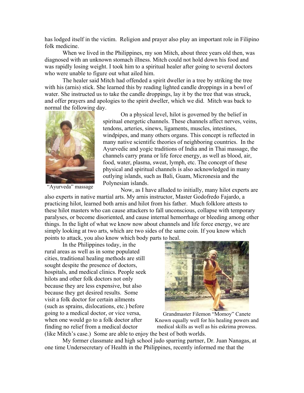has lodged itself in the victim. Religion and prayer also play an important role in Filipino folk medicine.

When we lived in the Philippines, my son Mitch, about three years old then, was diagnosed with an unknown stomach illness. Mitch could not hold down his food and was rapidly losing weight. I took him to a spiritual healer after going to several doctors who were unable to figure out what ailed him.

The healer said Mitch had offended a spirit dweller in a tree by striking the tree with his (arnis) stick. She learned this by reading lighted candle droppings in a bowl of water. She instructed us to take the candle droppings, lay it by the tree that was struck, and offer prayers and apologies to the spirit dweller, which we did. Mitch was back to normal the following day.



On a physical level, hilot is governed by the belief in spiritual energetic channels. These channels affect nerves, veins, tendons, arteries, sinews, ligaments, muscles, intestines, windpipes, and many others organs. This concept is reflected in many native scientific theories of neighboring countries. In the Ayurvedic and yogic traditions of India and in Thai massage, the channels carry prana or life force energy, as well as blood, air, food, water, plasma, sweat, lymph, etc. The concept of these physical and spiritual channels is also acknowledged in many outlying islands, such as Bali, Guam, Micronesia and the Polynesian islands.

"Ayurveda" massage

Now, as I have alluded to initially, many hilot experts are also experts in native martial arts. My arnis instructor, Master Godofredo Fajardo, a practicing hilot, learned both arnis and hilot from his father. Much folklore attests to these hilot masters who can cause attackers to fall unconscious, collapse with temporary paralyses, or become disoriented, and cause internal hemorrhage or bleeding among other things. In the light of what we know now about channels and life force energy, we are simply looking at two arts, which are two sides of the same coin. If you know which points to attack, you also know which body parts to heal.

In the Philippines today, in the rural areas as well as in some populated cities, traditional healing methods are still sought despite the presence of doctors, hospitals, and medical clinics. People seek hilots and other folk doctors not only because they are less expensive, but also because they get desired results. Some visit a folk doctor for certain ailments (such as sprains, dislocations, etc.) before going to a medical doctor, or vice versa, when one would go to a folk doctor after finding no relief from a medical doctor (like Mitch's case.) Some are able to enjoy the best of both worlds.



Grandmaster Filemon "Momoy" Canete Known equally well for his healing powers and medical skills as well as his eskrima prowess.

My former classmate and high school judo sparring partner, Dr. Juan Nanagas, at one time Undersecretary of Health in the Philippines, recently informed me that the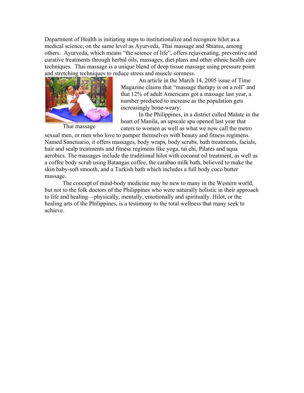Department of Health is initiating steps to institutionalize and recognize hilot as a medical science, on the same level as Ayurveda, Thai massage and Shiatsu, among others. Ayurveda, which means "the science of life", offers rejuvenating, preventive and curative treatments through herbal oils, massages, diet plans and other ethnic health care techniques. Thai massage is a unique blend of deep tissue massage using pressure point and stretching techniques to reduce stress and muscle soreness.



Thai massage

An article in the March 14, 2005 issue of Time Magazine claims that "massage therapy is on a roll" and that 12% of adult Americans got a massage last year, a number predicted to increase as the population gets increasingly bone-weary.

In the Philippines, in a district called Malate in the heart of Manila, an upscale spa opened last year that caters to women as well as what we now call the metro

sexual men, or men who love to pamper themselves with beauty and fitness regimens. Named Sanctuario, it offers massages, body wraps, body scrubs, bath treatments, facials, hair and scalp treatments and fitness regimens like yoga, tai chi, Pilates and aqua aerobics. The massages include the traditional hilot with coconut oil treatment, as well as a coffee body scrub using Batangas coffee, the carabao milk bath, believed to make the skin baby-soft smooth, and a Turkish bath which includes a full body coco butter massage.

The concept of mind-body medicine may be new to many in the Western world, but not to the folk doctors of the Philippines who were naturally holistic in their approach to life and healing—physically, mentally, emotionally and spiritually. Hilot, or the healing arts of the Philippines, is a testimony to the total wellness that many seek to achieve.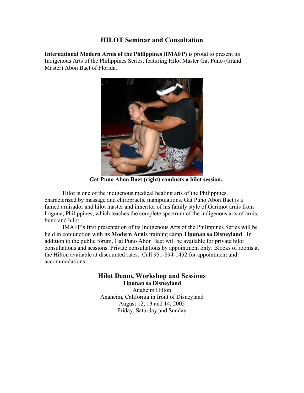### **HILOT Seminar and Consultation**

<span id="page-10-0"></span>**International Modern Arnis of the Philippines (IMAFP)** is proud to present its Indigenous Arts of the Philippines Series, featuring Hilot Master Gat Puno (Grand Master) Abon Baet of Florida.



 **Gat Puno Abon Baet (right) conducts a hilot session.** 

Hilot is one of the indigenous medical healing arts of the Philippines, characterized by massage and chiropractic manipulations. Gat Puno Abon Baet is a famed arnisador and hilot master and inheritor of his family style of Garimot arnis from Laguna, Philippines, which teaches the complete spectrum of the indigenous arts of arnis, buno and hilot.

IMAFP's first presentation of its Indigenous Arts of the Philippines Series will be held in conjunction with its **Modern Arnis** training camp **Tipunan sa Disneyland**. In addition to the public forum, Gat Puno Abon Baet will be available for private hilot consultations and sessions. Private consultations by appointment only. Blocks of rooms at the Hilton available at discounted rates. Call 951-894-1452 for appointment and accommodations.

### **Hilot Demo, Workshop and Sessions Tipunan sa Disneyland**

Anaheim Hilton Anaheim, California in front of Disneyland August 12, 13 and 14, 2005 Friday, Saturday and Sunday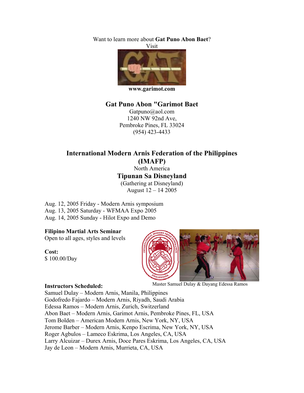<span id="page-11-0"></span>Want to learn more about **Gat Puno Abon Baet**?



**[www.garimot.com](http://www.garimot.com/)**

### **Gat Puno Abon "Garimot Baet**

Gatpuno@aol.com 1240 NW 92nd Ave, Pembroke Pines, FL 33024 (954) 423-4433

# **International Modern Arnis Federation of the Philippines (IMAFP)**

North America **Tipunan Sa Disneyland** (Gathering at Disneyland) August 12 – 14 2005

Aug. 12, 2005 Friday - Modern Arnis symposium Aug. 13, 2005 Saturday - WFMAA Expo 2005 Aug. 14, 2005 Sunday - Hilot Expo and Demo

#### **Filipino Martial Arts Seminar**

Open to all ages, styles and levels

**Cost:**  \$ 100.00/Day



#### **Instructors Scheduled:**

Master Samuel Dulay & Dayang Edessa Ramos

Samuel Dulay – Modern Arnis, Manila, Philippines Godofredo Fajardo – Modern Arnis, Riyadh, Saudi Arabia Edessa Ramos – Modern Arnis, Zurich, Switzerland Abon Baet – Modern Arnis, Garimot Arnis, Pembroke Pines, FL, USA Tom Bolden – American Modern Arnis, New York, NY, USA Jerome Barber – Modern Arnis, Kenpo Escrima, New York, NY, USA Roger Agbulos – Lameco Eskrima, Los Angeles, CA, USA Larry Alcuizar – Durex Arnis, Doce Pares Eskrima, Los Angeles, CA, USA Jay de Leon – Modern Arnis, Murrieta, CA, USA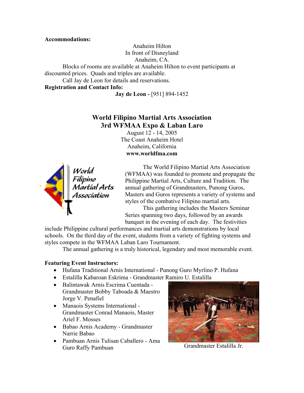<span id="page-12-0"></span>**Accommodations:** 

Anaheim Hilton In front of Disneyland

Anaheim, CA.

Blocks of rooms are available at Anaheim Hilton to event participants at discounted prices. Quads and triples are available.

Call Jay de Leon for details and reservations.

**Registration and Contact Info:** 

**Jay de Leon -** [951] 894-1452

# **World Filipino Martial Arts Association 3rd WFMAA Expo & Laban Laro**

August 12 - 14, 2005 The Coast Anaheim Hotel Anaheim, California **[www.worldfma.com](http://www.worldfma.com/)**



The World Filipino Martial Arts Association (WFMAA) was founded to promote and propagate the Philippine Martial Arts, Culture and Tradition. The annual gathering of Grandmasters, Punong Guros, Masters and Guros represents a variety of systems and styles of the combative Filipino martial arts.

This gathering includes the Masters Seminar Series spanning two days, followed by an awards banquet in the evening of each day. The festivities

include Philippine cultural performances and martial arts demonstrations by local schools. On the third day of the event, students from a variety of fighting systems and styles compete in the WFMAA Laban Laro Tournament.

The annual gathering is a truly historical, legendary and most memorable event.

### **Featuring Event Instructors:**

- Hufana Traditional Arnis International Punong Guro Myrlino P. Hufana
- Estalilla Kabaroan Eskrima Grandmaster Ramiro U. Estalilla
- Balintawak Arnis Escrima Cuentada Grandmaster Bobby Taboada & Maestro Jorge V. Penafiel
- Manaois Systems International Grandmaster Conrad Manaois, Master Ariel F. Mosses
- Babao Arnis Academy Grandmaster Narrie Babao
- Pambuan Arnis Tulisan Caballero Ama Guro Raffy Pambuan



Grandmaster Estalilla Jr.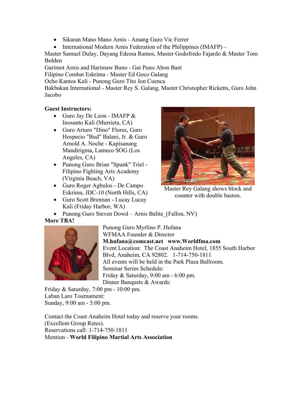- Sikaran Mano Mano Arnis Amang Guro Vic Ferrer
- International Modern Arnis Federation of the Philippines (IMAFP) –

Master Samuel Dulay, Dayang Edessa Ramos, Master Godofredo Fajardo & Master Tom Bolden

Garimot Arnis and Harimaw Buno - Gat Puno Abon Baet Filipino Combat Eskrima - Master Ed Goco Galang

Ocho Kantos Kali - Punong Guro Tito Jon Cuenca

Bakbakan International - Master Rey S. Galang, Master Christopher Ricketts, Guro John Jacobo

### **Guest Instructors:**

- Guro Jay De Leon IMAFP & Inosanto Kali (Murrieta, CA)
- Guro Arturo "Dino" Flores, Guro Hospecio "Bud" Balani, Jr. & Guro Arnold A. Noche - Kapisanang Mandirigma, Lameco SOG (Los Angeles, CA)
- Punong Guro Brian "Spunk" Triel Filipino Fighting Arts Academy (Virginia Beach, VA)
- Guro Roger Agbulos De Campo Eskrima, JDC-10 (North Hills, CA)
- Guro Scott Brennan Lucay Lucay Kali (Friday Harbor, WA)



Master Rey Galang shows block and counter with double baston.

• Punong Guro Steven Dowd – Arnis Balite (Fallon, NV)

### **More TBA!**



Punong Guro Myrlino P. Hufana WFMAA Founder & Director **[M.hufana@comcast.net](mailto:M.hufana@comcast.net) [www.Worldfma.com](http://www.worldfma.com/pages/1/index.htm)** Event Location: The Coast Anaheim Hotel, 1855 South Harbor Blvd, Anaheim, CA 92802. 1-714-750-1811 All events will be held in the Park Plaza Ballroom*.* Seminar Series Schedule: Friday & Saturday, 9:00 am - 6:00 pm. Dinner Banquets & Awards:

Friday & Saturday, 7:00 pm - 10:00 pm. Laban Laro Tournament: Sunday, 9:00 am - 5:00 pm.

Contact the Coast Anaheim Hotel today and reserve your rooms. (Excellent Group Rates). Reservations call: 1-714-750-1811 Mention - **World Filipino Martial Arts Association**